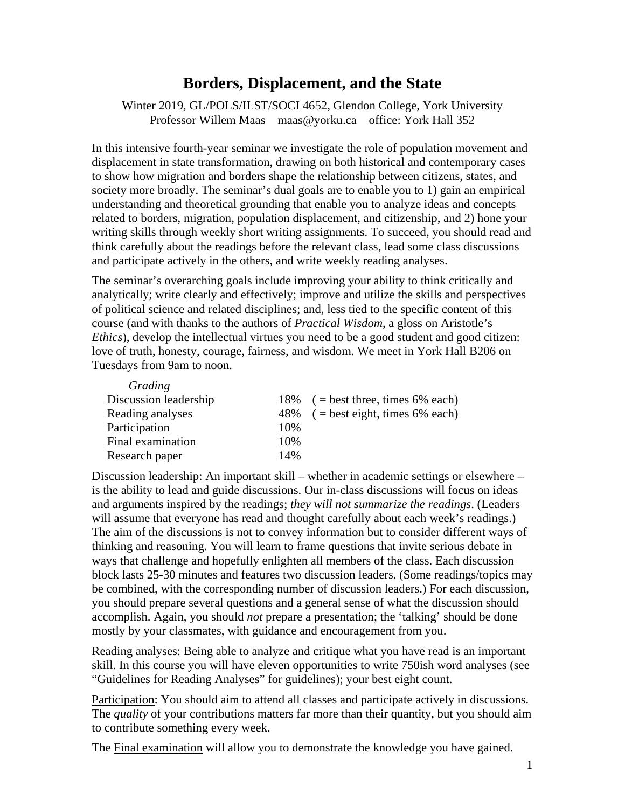# **Borders, Displacement, and the State**

Winter 2019, GL/POLS/ILST/SOCI 4652, Glendon College, York University Professor Willem Maas maas@yorku.ca office: York Hall 352

In this intensive fourth-year seminar we investigate the role of population movement and displacement in state transformation, drawing on both historical and contemporary cases to show how migration and borders shape the relationship between citizens, states, and society more broadly. The seminar's dual goals are to enable you to 1) gain an empirical understanding and theoretical grounding that enable you to analyze ideas and concepts related to borders, migration, population displacement, and citizenship, and 2) hone your writing skills through weekly short writing assignments. To succeed, you should read and think carefully about the readings before the relevant class, lead some class discussions and participate actively in the others, and write weekly reading analyses.

The seminar's overarching goals include improving your ability to think critically and analytically; write clearly and effectively; improve and utilize the skills and perspectives of political science and related disciplines; and, less tied to the specific content of this course (and with thanks to the authors of *Practical Wisdom*, a gloss on Aristotle's *Ethics*), develop the intellectual virtues you need to be a good student and good citizen: love of truth, honesty, courage, fairness, and wisdom. We meet in York Hall B206 on Tuesdays from 9am to noon.

| Grading               |     |                                      |
|-----------------------|-----|--------------------------------------|
| Discussion leadership |     | 18% $($ = best three, times 6% each) |
| Reading analyses      |     | 48% $($ = best eight, times 6% each) |
| Participation         | 10% |                                      |
| Final examination     | 10% |                                      |
| Research paper        | 14% |                                      |

Discussion leadership: An important skill – whether in academic settings or elsewhere – is the ability to lead and guide discussions. Our in-class discussions will focus on ideas and arguments inspired by the readings; *they will not summarize the readings*. (Leaders will assume that everyone has read and thought carefully about each week's readings.) The aim of the discussions is not to convey information but to consider different ways of thinking and reasoning. You will learn to frame questions that invite serious debate in ways that challenge and hopefully enlighten all members of the class. Each discussion block lasts 25-30 minutes and features two discussion leaders. (Some readings/topics may be combined, with the corresponding number of discussion leaders.) For each discussion, you should prepare several questions and a general sense of what the discussion should accomplish. Again, you should *not* prepare a presentation; the 'talking' should be done mostly by your classmates, with guidance and encouragement from you.

Reading analyses: Being able to analyze and critique what you have read is an important skill. In this course you will have eleven opportunities to write 750ish word analyses (see "Guidelines for Reading Analyses" for guidelines); your best eight count.

Participation: You should aim to attend all classes and participate actively in discussions. The *quality* of your contributions matters far more than their quantity, but you should aim to contribute something every week.

The Final examination will allow you to demonstrate the knowledge you have gained.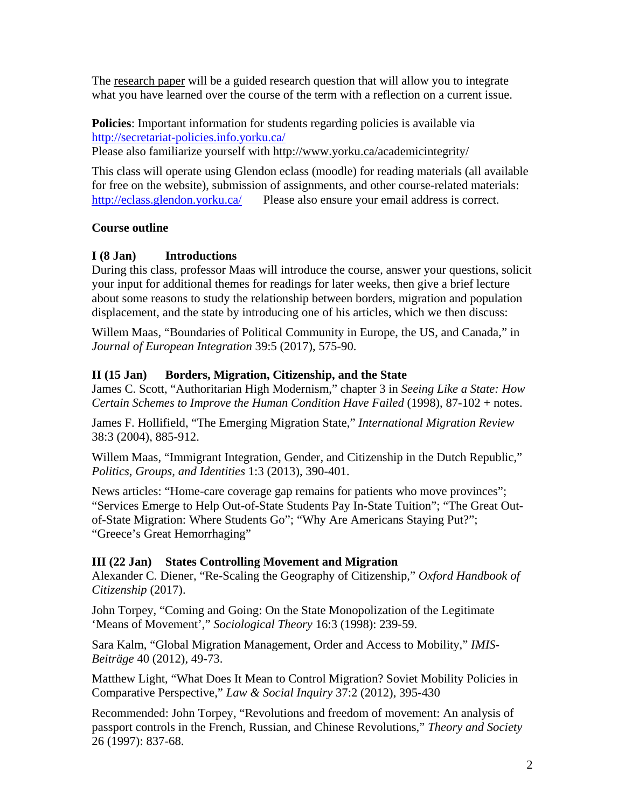The research paper will be a guided research question that will allow you to integrate what you have learned over the course of the term with a reflection on a current issue.

**Policies**: Important information for students regarding policies is available via <http://secretariat-policies.info.yorku.ca/> Please also familiarize yourself with <http://www.yorku.ca/academicintegrity/>

This class will operate using Glendon eclass (moodle) for reading materials (all available for free on the website), submission of assignments, and other course-related materials: <http://eclass.glendon.yorku.ca/>Please also ensure your email address is correct.

## **Course outline**

#### **I (8 Jan) Introductions**

During this class, professor Maas will introduce the course, answer your questions, solicit your input for additional themes for readings for later weeks, then give a brief lecture about some reasons to study the relationship between borders, migration and population displacement, and the state by introducing one of his articles, which we then discuss:

Willem Maas, "Boundaries of Political Community in Europe, the US, and Canada," in *Journal of European Integration* 39:5 (2017), 575-90.

## **II (15 Jan) Borders, Migration, Citizenship, and the State**

James C. Scott, "Authoritarian High Modernism," chapter 3 in *Seeing Like a State: How Certain Schemes to Improve the Human Condition Have Failed* (1998), 87-102 + notes.

James F. Hollifield, "The Emerging Migration State," *International Migration Review* 38:3 (2004), 885-912.

Willem Maas, "Immigrant Integration, Gender, and Citizenship in the Dutch Republic," *Politics, Groups, and Identities* 1:3 (2013), 390-401.

News articles: "Home-care coverage gap remains for patients who move provinces"; "Services Emerge to Help Out-of-State Students Pay In-State Tuition"; "The Great Outof-State Migration: Where Students Go"; "Why Are Americans Staying Put?"; "Greece's Great Hemorrhaging"

#### **III (22 Jan) States Controlling Movement and Migration**

Alexander C. Diener, "Re-Scaling the Geography of Citizenship," *Oxford Handbook of Citizenship* (2017).

John Torpey, "Coming and Going: On the State Monopolization of the Legitimate 'Means of Movement'," *Sociological Theory* 16:3 (1998): 239-59.

Sara Kalm, "Global Migration Management, Order and Access to Mobility," *IMIS-Beiträge* 40 (2012), 49-73.

Matthew Light, "What Does It Mean to Control Migration? Soviet Mobility Policies in Comparative Perspective," *Law & Social Inquiry* 37:2 (2012), 395-430

Recommended: John Torpey, "Revolutions and freedom of movement: An analysis of passport controls in the French, Russian, and Chinese Revolutions," *Theory and Society* 26 (1997): 837-68.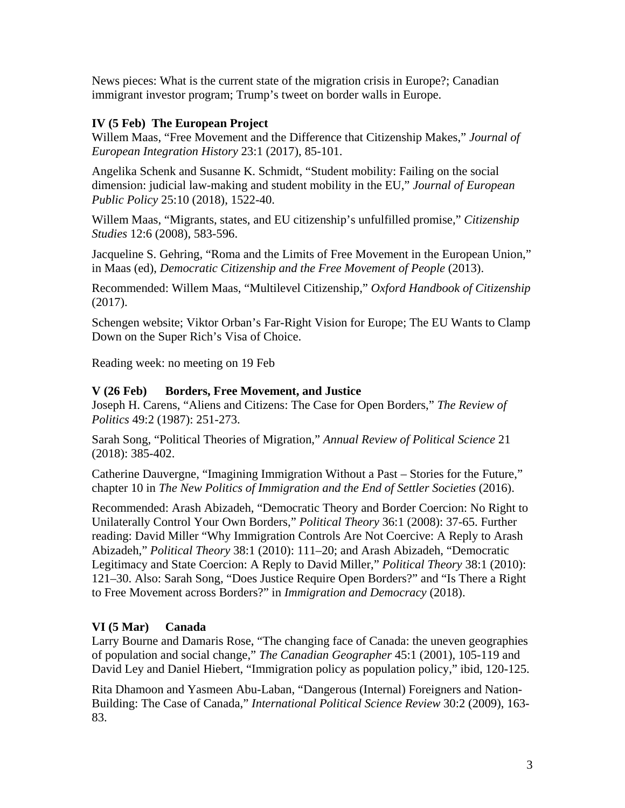News pieces: What is the current state of the migration crisis in Europe?; Canadian immigrant investor program; Trump's tweet on border walls in Europe.

### **IV (5 Feb) The European Project**

Willem Maas, "Free Movement and the Difference that Citizenship Makes," *Journal of European Integration History* 23:1 (2017), 85-101.

Angelika Schenk and Susanne K. Schmidt, "Student mobility: Failing on the social dimension: judicial law-making and student mobility in the EU," *Journal of European Public Policy* 25:10 (2018), 1522-40.

Willem Maas, "Migrants, states, and EU citizenship's unfulfilled promise," *Citizenship Studies* 12:6 (2008), 583-596.

Jacqueline S. Gehring, "Roma and the Limits of Free Movement in the European Union," in Maas (ed), *Democratic Citizenship and the Free Movement of People* (2013).

Recommended: Willem Maas, "Multilevel Citizenship," *Oxford Handbook of Citizenship*  (2017).

Schengen website; Viktor Orban's Far-Right Vision for Europe; The EU Wants to Clamp Down on the Super Rich's Visa of Choice.

Reading week: no meeting on 19 Feb

#### **V (26 Feb) Borders, Free Movement, and Justice**

Joseph H. Carens, "Aliens and Citizens: The Case for Open Borders," *The Review of Politics* 49:2 (1987): 251-273.

Sarah Song, "Political Theories of Migration," *Annual Review of Political Science* 21 (2018): 385-402.

Catherine Dauvergne, "Imagining Immigration Without a Past – Stories for the Future," chapter 10 in *The New Politics of Immigration and the End of Settler Societies* (2016).

Recommended: Arash Abizadeh, "Democratic Theory and Border Coercion: No Right to Unilaterally Control Your Own Borders," *Political Theory* 36:1 (2008): 37-65. Further reading: David Miller "Why Immigration Controls Are Not Coercive: A Reply to Arash Abizadeh," *Political Theory* 38:1 (2010): 111–20; and Arash Abizadeh, "Democratic Legitimacy and State Coercion: A Reply to David Miller," *Political Theory* 38:1 (2010): 121–30. Also: Sarah Song, "Does Justice Require Open Borders?" and "Is There a Right to Free Movement across Borders?" in *Immigration and Democracy* (2018).

#### **VI (5 Mar) Canada**

Larry Bourne and Damaris Rose, "The changing face of Canada: the uneven geographies of population and social change," *The Canadian Geographer* 45:1 (2001), 105-119 and David Ley and Daniel Hiebert, "Immigration policy as population policy," ibid, 120-125.

Rita Dhamoon and Yasmeen Abu-Laban, "Dangerous (Internal) Foreigners and Nation-Building: The Case of Canada," *International Political Science Review* 30:2 (2009), 163- 83.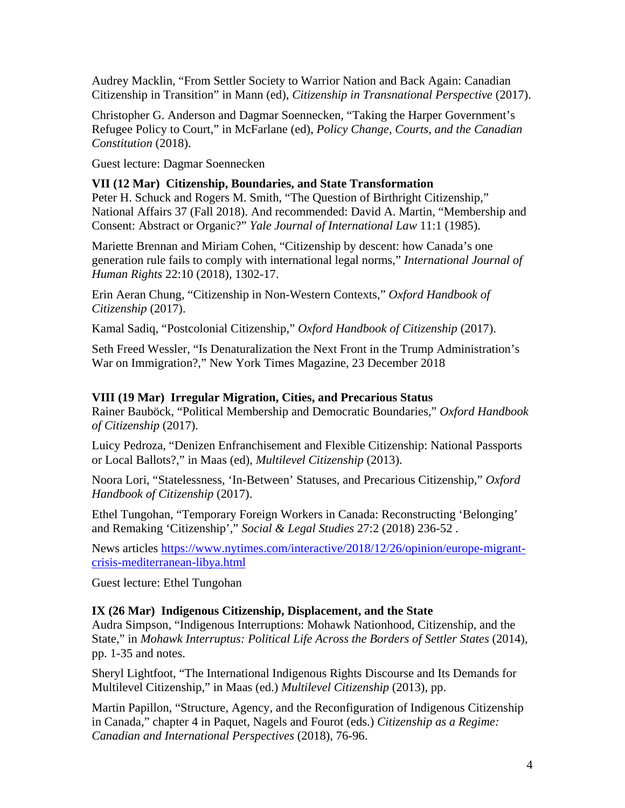Audrey Macklin, "From Settler Society to Warrior Nation and Back Again: Canadian Citizenship in Transition" in Mann (ed), *Citizenship in Transnational Perspective* (2017).

Christopher G. Anderson and Dagmar Soennecken, "Taking the Harper Government's Refugee Policy to Court," in McFarlane (ed), *Policy Change, Courts, and the Canadian Constitution* (2018).

Guest lecture: Dagmar Soennecken

#### **VII (12 Mar) Citizenship, Boundaries, and State Transformation**

Peter H. Schuck and Rogers M. Smith, "The Question of Birthright Citizenship," National Affairs 37 (Fall 2018). And recommended: David A. Martin, "Membership and Consent: Abstract or Organic?" *Yale Journal of International Law* 11:1 (1985).

Mariette Brennan and Miriam Cohen, "Citizenship by descent: how Canada's one generation rule fails to comply with international legal norms," *International Journal of Human Rights* 22:10 (2018), 1302-17.

Erin Aeran Chung, "Citizenship in Non-Western Contexts," *Oxford Handbook of Citizenship* (2017).

Kamal Sadiq, "Postcolonial Citizenship," *Oxford Handbook of Citizenship* (2017).

Seth Freed Wessler, "Is Denaturalization the Next Front in the Trump Administration's War on Immigration?," New York Times Magazine, 23 December 2018

#### **VIII (19 Mar) Irregular Migration, Cities, and Precarious Status**

Rainer Bauböck, "Political Membership and Democratic Boundaries," *Oxford Handbook of Citizenship* (2017).

Luicy Pedroza, "Denizen Enfranchisement and Flexible Citizenship: National Passports or Local Ballots?," in Maas (ed), *Multilevel Citizenship* (2013).

Noora Lori, "Statelessness, 'In-Between' Statuses, and Precarious Citizenship," *Oxford Handbook of Citizenship* (2017).

Ethel Tungohan, "Temporary Foreign Workers in Canada: Reconstructing 'Belonging' and Remaking 'Citizenship'," *Social & Legal Studies* 27:2 (2018) 236-52 .

News articles [https://www.nytimes.com/interactive/2018/12/26/opinion/europe-migrant](https://www.nytimes.com/interactive/2018/12/26/opinion/europe-migrant-crisis-mediterranean-libya.html)[crisis-mediterranean-libya.html](https://www.nytimes.com/interactive/2018/12/26/opinion/europe-migrant-crisis-mediterranean-libya.html)

Guest lecture: Ethel Tungohan

#### **IX (26 Mar) Indigenous Citizenship, Displacement, and the State**

Audra Simpson, "Indigenous Interruptions: Mohawk Nationhood, Citizenship, and the State," in *Mohawk Interruptus: Political Life Across the Borders of Settler States* (2014), pp. 1-35 and notes.

Sheryl Lightfoot, "The International Indigenous Rights Discourse and Its Demands for Multilevel Citizenship," in Maas (ed.) *Multilevel Citizenship* (2013), pp.

Martin Papillon, "Structure, Agency, and the Reconfiguration of Indigenous Citizenship in Canada," chapter 4 in Paquet, Nagels and Fourot (eds.) *Citizenship as a Regime: Canadian and International Perspectives* (2018), 76-96.